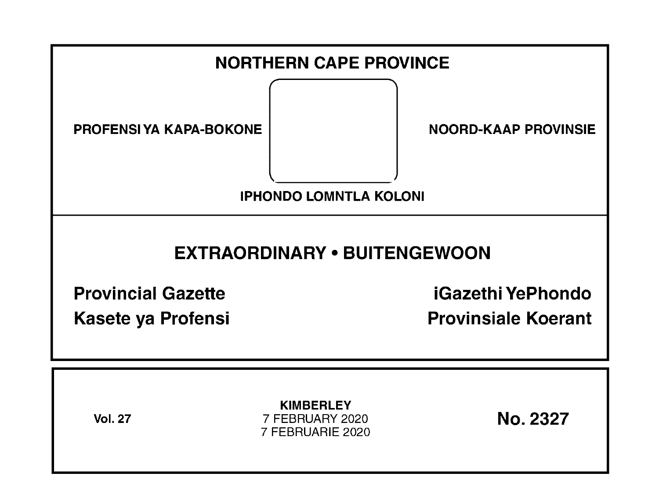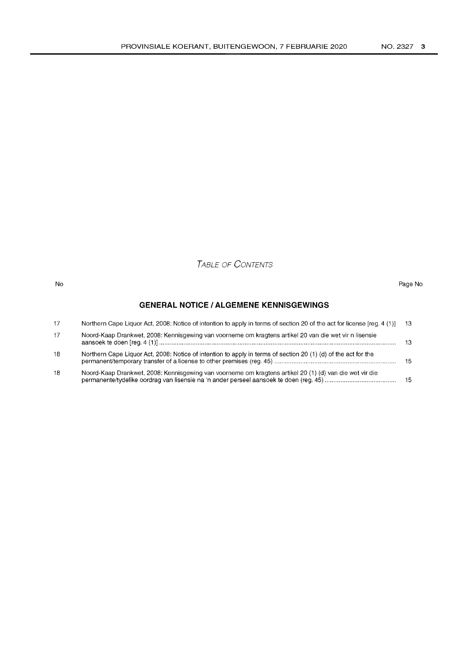# TABLE OF CONTENTS

#### No Page No

# **GENERAL NOTICE I ALGEMENE KENNISGEWINGS**

| 17 | Northern Cape Liquor Act, 2008: Notice of intention to apply in terms of section 20 of the act for license [reg. 4 (1)] | -13 |
|----|-------------------------------------------------------------------------------------------------------------------------|-----|
| 17 | Noord-Kaap Drankwet, 2008: Kennisgewing van voorneme om kragtens artikel 20 van die wet vir n lisensie                  | 13  |
| 18 | Northern Cape Liquor Act, 2008: Notice of intention to apply in terms of section 20 (1) (d) of the act for the          | -15 |
| 18 | Noord-Kaap Drankwet, 2008: Kennisgewing van voorneme om kragtens artikel 20 (1) (d) van die wet vir die                 | 15  |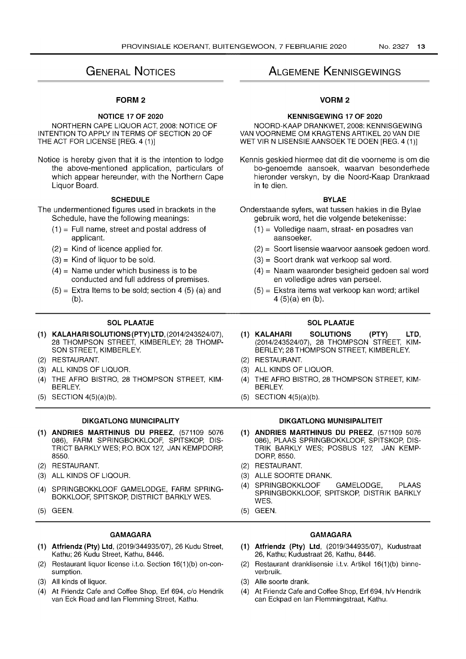# GENERAL NOTICES

## FORM 2

## NOTICE 17 OF 2020

NORTHERN CAPE LIQUOR ACT, 2008: NOTICE OF INTENTION TO APPLY IN TERMS OF SECTION 20 OF THE ACT FOR LICENSE [REG. 4 (1)]

Notice is hereby given that it is the intention to lodge the above-mentioned application, particulars of which appear hereunder, with the Northern Cape Liquor Board.

## **SCHEDULE**

The undermentioned figures used in brackets in the Schedule, have the following meanings:

- $(1)$  = Full name, street and postal address of applicant.
- $(2)$  = Kind of licence applied for.
- $(3)$  = Kind of liquor to be sold.
- $(4)$  = Name under which business is to be conducted and full address of premises.
- $(5)$  = Extra Items to be sold; section 4 (5) (a) and (b).

## SOL PLAATJE

- (1) KALAHARI SOLUTIONS (PTY) LTD, (2014/243524/07), 28 THOMPSON STREET, KIMBERLEY; 28 THOMP-SON STREET, KIMBERLEY.
- (2) RESTAURANT.
- (3) ALL KINDS OF LIQUOR.
- (4) THE AFRO BISTRO, 28 THOMPSON STREET, KIM-BERLEY.
- (5) SECTION 4(5)(a)(b).

## DIKGATLONG MUNICIPALITY

- (1) ANDRIES MARTHINUS DU PREEZ, (571109 5076 086), FARM SPRINGBOKKLOOF, SPITSKOP, DIS-TRICT BARKLY WES; P.O. BOX 127, JAN KEMPDORP, 8550.
- (2) RESTAURANT.
- (3) ALL KINDS OF LlQOUR.
- (4) SPRINGBOKKLOOF GAMELODGE, FARM SPRING-BOKKLOOF, SPITSKOP, DISTRICT BARKLY WES.
- (5) GEEN.

## GAMAGARA

- (1) Atfriendz (Pty) Ltd, (2019/344935/07), 26 Kudu Street, Kathu; 26 Kudu Street, Kathu, 8446.
- (2) Restaurant liquor license i.t.o. Section 16(1 )(b) on-consumption.
- (3) All kinds of liquor.
- (4) At Friendz Cafe and Coffee Shop, Erf 694, c/o Hendrik van Eck Road and Ian Flemming Street, Kathu.

# ALGEMENE KENNISGEWINGS

## VORM2

## KENNISGEWING 17 OF 2020

NOORD-KAAP DRANKWET, 2008: KENNISGEWING VAN VOORNEME OM KRAGTENS ARTIKEL 20 VAN DIE WET VIR N LISENSIE AANSOEK TE DOEN [REG. 4 (1)]

Kennis geskied hiermee dat dit die voorneme is om die bo-genoemde aansoek, waarvan besonderhede hieronder verskyn, by die Noord-Kaap Drankraad in te dien.

### BYLAE

- Onderstaande syfers, wat tussen hakies in die Bylae gebruik word, het die volgende betekenisse:
	- (1) = Volledige naam, straat- en posadres van aansoeker.
	- (2) = Soort lisensie waarvoor aansoek gedoen word.
	- (3) = Soort drank wat verkoop sal word.
	- (4) = Naam waaronder besigheid gedoen sal word en volledige adres van perseel.
	- (5) = Ekstra items wat verkoop kan word; artikel 4 (5)(a) en (b).

## SOL PLAATJE

- (1) KALAHARI SOLUTIONS (PTY) LTD, (2014/243524/07), 28 THOMPSON STREET, KIM-BERLEY; 28 THOMPSON STREET, KIMBERLEY.
- (2) RESTAURANT.
- (3) ALL KINDS OF LIQUOR.
- (4) THE AFRO BISTRO, 28 THOMPSON STREET, KIM-BERLEY.
- (5) SECTION 4(5)(a)(b).

### DIKGATLONG MUNISIPALITEIT

- (1) ANDRIES MARTHINUS DU PREEZ, (571109 5076 086), PLAAS SPRINGBOKKLOOF, SPITSKOP, DIS-TRIK BARKLY WES; POSBUS 127, JAN KEMP-DORP, 8550.
- (2) RESTAURANT.
- (3) ALLE SOORTE DRANK.
- (4) SPRINGBOKKLOOF GAMELODGE, PLAAS SPRINGBOKKLOOF, SPITSKOP, DISTRIK BARKLY WES.
- (5) GEEN.

## GAMAGARA

- (1) Atfriendz (Pty) Ltd, (2019/344935/07), Kudustraat 26, Kathu; Kudustraat 26, Kathu, 8446.
- (2) Restaurant dranklisensie i.t.v. Artikel 16(1)(b) binneverbruik.
- (3) Aile soorte drank.
- (4) At Friendz Cafe and Coffee Shop, Erf 694, h/v Hendrik can Eckpad en Ian Flemmingstraat, Kathu.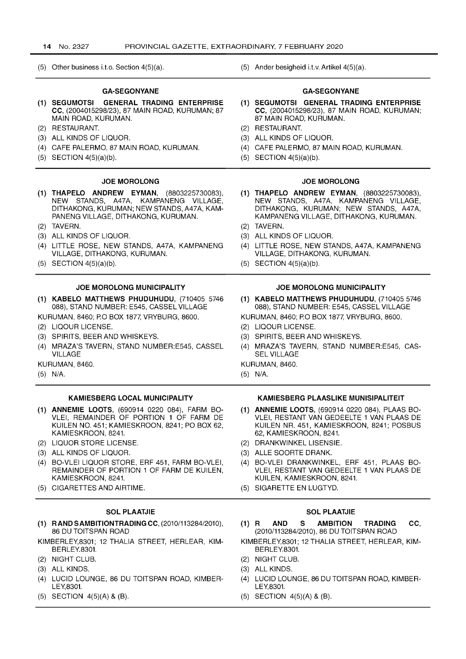(5) Other business i.t.o. Section 4(5)(a).

## GA-SEGONYANE

- (1) SEGUMOTSI GENERAL TRADING ENTERPRISE CC, (2004015298/23), 87 MAIN ROAD, KURUMAN; 87 MAIN ROAD, KURUMAN.
- (2) RESTAURANT.
- (3) ALL KINDS OF LIQUOR.
- (4) CAFE PALERMO, 87 MAIN ROAD, KURUMAN.
- (5) SECTION 4(5)(a)(b).

#### JOE MOROLONG

- (1) THAPELO ANDREW EYMAN, (8803225730083), NEW STANDS, A47A, KAMPANENG VILLAGE, DITHAKONG, KURUMAN; NEW STANDS, A47A, KAM-PANENG VILLAGE, DITHAKONG, KURUMAN.
- (2) TAVERN.
- (3) ALL KINDS OF LIQUOR.
- (4) LITTLE ROSE, NEW STANDS, A47A, KAMPANENG VILLAGE, DITHAKONG, KURUMAN.
- (5) SECTION 4(5)(a)(b).

#### JOE MOROLONG MUNICIPALITY

- (1) KABELO MATTHEWS PHUDUHUDU, (710405 5746 088), STAND NUMBER: E545, CASSEL VILLAGE
- KURUMAN, 8460; PO BOX 1877, VRYBURG, 8600.
- (2) LlQOUR LICENSE.
- (3) SPIRITS, BEER AND WHISKEYS.
- (4) MRAZA'S TAVERN, STAND NUMBER:E545, CASSEL VILLAGE
- KURUMAN, 8460.
- (5) N/A.

#### KAMIESBERG LOCAL MUNICIPALITY

- (1 ) ANNEMIE LOOTS, (690914 0220 084), FARM BO-VLEI, REMAINDER OF PORTION 1 OF FARM DE KUILEN NO. 451; KAMIESKROON, 8241; PO BOX 62, KAMIESKROON, 8241.
- (2) LIQUOR STORE LICENSE.
- (3) ALL KINDS OF LIQUOR.
- (4) BO-VLEI LIQUOR STORE, ERF 451, FARM BO-VLEI, REMAINDER OF PORTION 1 OF FARM DE KUILEN, KAMIESKROON,8241.
- (5) CIGARETTES AND AIRTIME.

#### SOL PLAATJIE

- (1) RAND SAMBITIONTRADING CC, (2010/113284/2010), 86 DU TOITSPAN ROAD
- KIMBERLEY,8301; 12 THALIA STREET, HERLEAR, KIM-BERLEY.8301.
- (2) NIGHT CLUB.
- (3) ALL KINDS.
- (4) LUCID LOUNGE, 86 DU TOITSPAN ROAD, KIMBER-LEY,8301.
- (5) SECTION 4(5)(A) & (B).

(5) Ander besigheid i.t.v. Artikel 4(5)(a).

### GA-SEGONYANE

- (1) SEGUMOTSI GENERAL TRADING ENTERPRISE CC, (2004015298/23), 87 MAIN ROAD, KURUMAN; 87 MAIN ROAD, KURUMAN.
- (2) RESTAURANT.
- (3) ALL KINDS OF LIQUOR.
- (4) CAFE PALERMO, 87 MAIN ROAD, KURUMAN.
- (5) SECTION 4(5)(a)(b).

#### JOE MOROLONG

- (1) THAPELO ANDREW EYMAN, (8803225730083), NEW STANDS, A47A, KAMPANENG VILLAGE, DITHAKONG, KURUMAN; NEW STANDS, A47A, KAMPANENG VILLAGE, DITHAKONG, KURUMAN.
- (2) TAVERN.
- (3) ALL KINDS OF LIQUOR.
- (4) LITTLE ROSE, NEW STANDS, A47A, KAMPANENG VILLAGE, DITHAKONG, KURUMAN.
- (5) SECTION 4(5)(a)(b).

#### JOE MOROLONG MUNICIPALITY

- (1) KABELO MATTHEWS PHUDUHUDU, (7104055746 088), STAND NUMBER: E545, CASSEL VILLAGE
- KURUMAN, 8460; PO BOX 1877, VRYBURG, 8600.
- (2) LlQOUR LICENSE.
- (3) SPIRITS, BEER AND WHISKEYS.
- (4) MRAZA'S TAVERN, STAND NUMBER:E545, CAS-SEL VILLAGE

KURUMAN, 8460.

(5) N/A.

#### KAMIESBERG PLAASLIKE MUNISIPALITEIT

- (1 ) ANNEMIE LOOTS, (690914 0220 084), PLAAS BO-VLEI, RESTANT VAN GEDEELTE 1 VAN PLAAS DE KUILEN NR. 451, KAMIESKROON, 8241; POSBUS 62, KAMIESKROON, 8241.
- (2) DRANKWINKEL LlSENSIE.
- (3) ALLE SOORTE DRANK.
- (4) BO-VLEI DRANKWINKEL, ERF 451, PLAAS BO-VLEI, RESTANT VAN GEDEELTE 1 VAN PLAAS DE KUILEN, KAMIESKROON, 8241.
- (5) SIGARETTE EN LUGTYD.

## SOL PLAATJIE

- (1) RAND S AMBITION TRADING CC, (2010/113284/2010),86 DU TOITSPAN ROAD
- KIMBERLEY,8301; 12 THALIA STREET, HERLEAR, KIM-BERLEY.8301.
- (2) NIGHT CLUB.
- (3) ALL KINDS.
- (4) LUCID LOUNGE, 86 DU TOITSPAN ROAD, KIMBER-LEY,8301.
- (5) SECTION 4(5)(A) & (B).